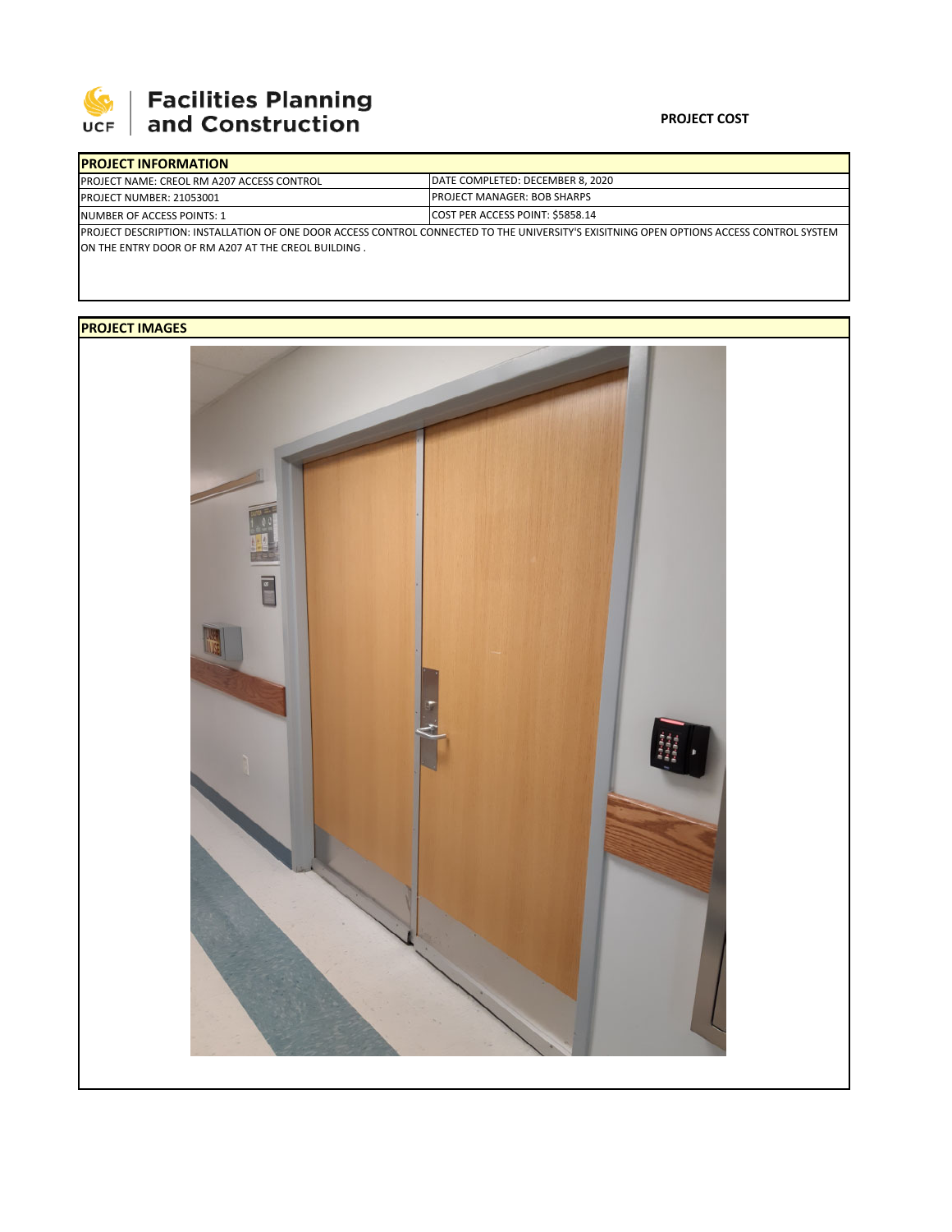

# **SEPTE AND Facilities Planning**<br>UCF and Construction

### **PROJECT COST**

| <b>IPROJECT INFORMATION</b>                                                                                                                      |                                     |  |  |  |
|--------------------------------------------------------------------------------------------------------------------------------------------------|-------------------------------------|--|--|--|
| <b>PROJECT NAME: CREOL RM A207 ACCESS CONTROL</b>                                                                                                | IDATE COMPLETED: DECEMBER 8. 2020   |  |  |  |
| <b>PROJECT NUMBER: 21053001</b>                                                                                                                  | <b>IPROJECT MANAGER: BOB SHARPS</b> |  |  |  |
| NUMBER OF ACCESS POINTS: 1                                                                                                                       | COST PER ACCESS POINT: \$5858.14    |  |  |  |
| <b>IPROJECT DESCRIPTION: INSTALLATION OF ONE DOOR ACCESS CONTROL CONNECTED TO THE UNIVERSITY'S EXISITNING OPEN OPTIONS ACCESS CONTROL SYSTEM</b> |                                     |  |  |  |

ON THE ENTRY DOOR OF RM A207 AT THE CREOL BUILDING .

## **PROJECT IMAGES**